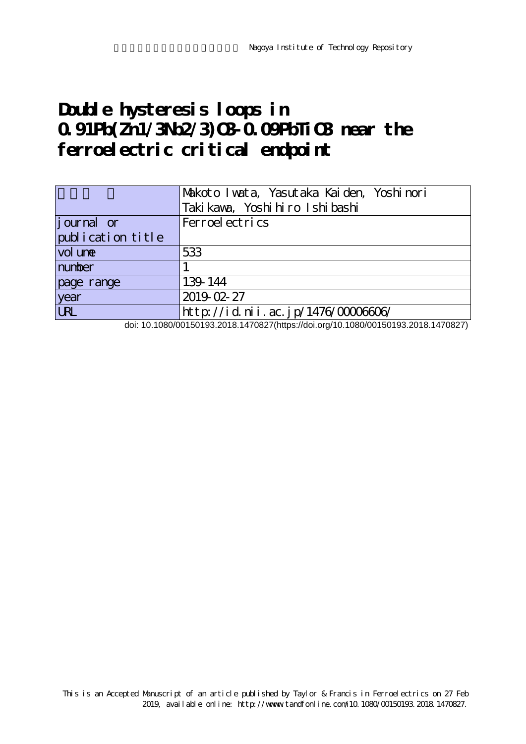# **Double hysteresis loops in 0.91Pb(Zn1/3Nb2/3)O3-0.09PbTiO3 near the ferroelectric critical endpoint**

|                   | Makoto I wata, Yasutaka Kaiden, Yoshi nori |
|-------------------|--------------------------------------------|
|                   | Taki kawa, Yoshi hiro Ishi bashi           |
| journal or        | Ferroel ectrics                            |
| publication title |                                            |
| vol une           | 533                                        |
| number            |                                            |
| page range        | 139-144                                    |
| year              | 2019-02-27                                 |
| <b>LRL</b>        | http://id.nii.ac.jp/1476/0000606/          |

doi: 10.1080/00150193.2018.1470827(https://doi.org/10.1080/00150193.2018.1470827)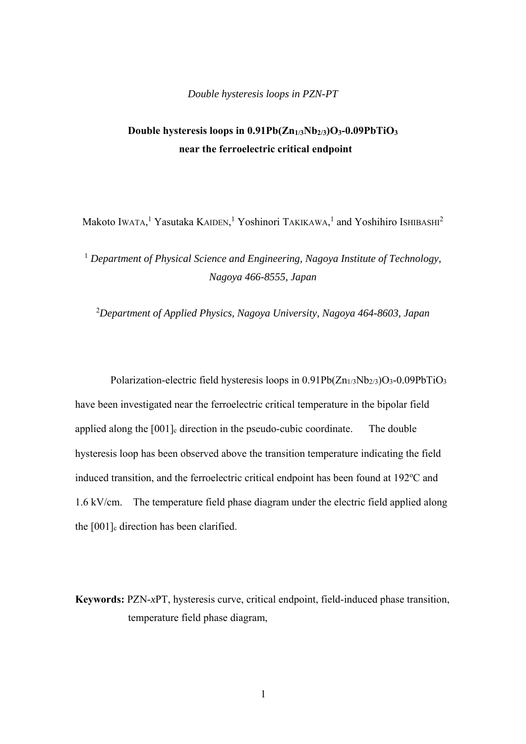### *Double hysteresis loops in PZN-PT*

# **Double hysteresis loops in 0.91Pb(Zn1/3Nb2/3)O3-0.09PbTiO3 near the ferroelectric critical endpoint**

Makoto Iwata,<sup>1</sup> Yasutaka Kaiden,<sup>1</sup> Yoshinori Takikawa,<sup>1</sup> and Yoshihiro Ishibashi<sup>2</sup>

<sup>1</sup> Department of Physical Science and Engineering, Nagoya Institute of Technology, *Nagoya 466-8555, Japan* 

2 *Department of Applied Physics, Nagoya University, Nagoya 464-8603, Japan*

Polarization-electric field hysteresis loops in 0.91Pb(Zn<sub>1/3</sub>Nb<sub>2/3</sub>)O<sub>3</sub>-0.09PbTiO<sub>3</sub> have been investigated near the ferroelectric critical temperature in the bipolar field applied along the  $[001]$ <sub>c</sub> direction in the pseudo-cubic coordinate. The double hysteresis loop has been observed above the transition temperature indicating the field induced transition, and the ferroelectric critical endpoint has been found at 192°C and 1.6 kV/cm. The temperature field phase diagram under the electric field applied along the  $[001]$ <sub>c</sub> direction has been clarified.

**Keywords:** PZN-*x*PT, hysteresis curve, critical endpoint, field-induced phase transition, temperature field phase diagram,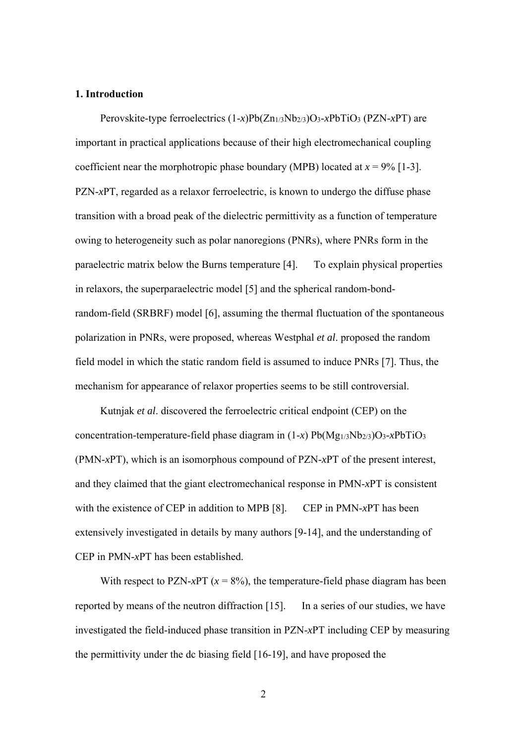#### **1. Introduction**

 Perovskite-type ferroelectrics (1-*x*)Pb(Zn1/3Nb2/3)O3-*x*PbTiO3 (PZN-*x*PT) are important in practical applications because of their high electromechanical coupling coefficient near the morphotropic phase boundary (MPB) located at  $x = 9\%$  [1-3]. PZN-*x*PT, regarded as a relaxor ferroelectric, is known to undergo the diffuse phase transition with a broad peak of the dielectric permittivity as a function of temperature owing to heterogeneity such as polar nanoregions (PNRs), where PNRs form in the paraelectric matrix below the Burns temperature [4]. To explain physical properties in relaxors, the superparaelectric model [5] and the spherical random-bondrandom-field (SRBRF) model [6], assuming the thermal fluctuation of the spontaneous polarization in PNRs, were proposed, whereas Westphal *et al*. proposed the random field model in which the static random field is assumed to induce PNRs [7]. Thus, the mechanism for appearance of relaxor properties seems to be still controversial.

 Kutnjak *et al*. discovered the ferroelectric critical endpoint (CEP) on the concentration-temperature-field phase diagram in (1-*x*) Pb(Mg1/3Nb2/3)O3-*x*PbTiO3 (PMN-*x*PT), which is an isomorphous compound of PZN-*x*PT of the present interest, and they claimed that the giant electromechanical response in PMN-*x*PT is consistent with the existence of CEP in addition to MPB [8]. CEP in PMN-*x*PT has been extensively investigated in details by many authors [9-14], and the understanding of CEP in PMN-*x*PT has been established.

With respect to PZN-*x*PT ( $x = 8\%$ ), the temperature-field phase diagram has been reported by means of the neutron diffraction [15]. In a series of our studies, we have investigated the field-induced phase transition in PZN-*x*PT including CEP by measuring the permittivity under the dc biasing field [16-19], and have proposed the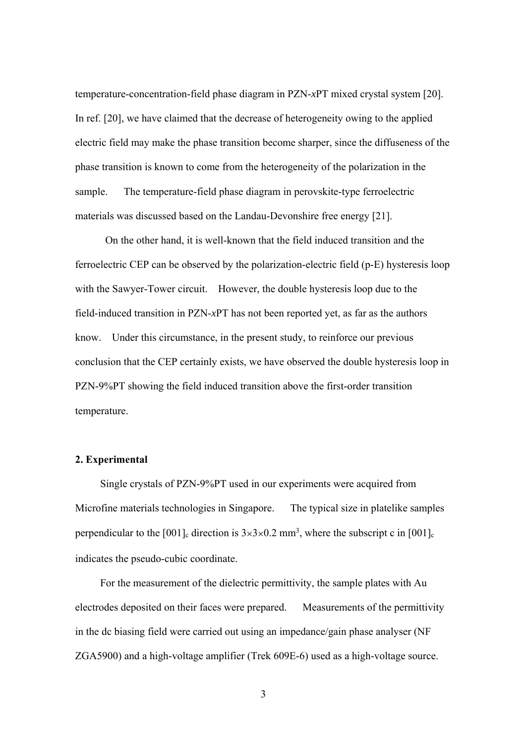temperature-concentration-field phase diagram in PZN-*x*PT mixed crystal system [20]. In ref. [20], we have claimed that the decrease of heterogeneity owing to the applied electric field may make the phase transition become sharper, since the diffuseness of the phase transition is known to come from the heterogeneity of the polarization in the sample. The temperature-field phase diagram in perovskite-type ferroelectric materials was discussed based on the Landau-Devonshire free energy [21].

On the other hand, it is well-known that the field induced transition and the ferroelectric CEP can be observed by the polarization-electric field (p-E) hysteresis loop with the Sawyer-Tower circuit. However, the double hysteresis loop due to the field-induced transition in PZN-*x*PT has not been reported yet, as far as the authors know. Under this circumstance, in the present study, to reinforce our previous conclusion that the CEP certainly exists, we have observed the double hysteresis loop in PZN-9%PT showing the field induced transition above the first-order transition temperature.

# **2. Experimental**

 Single crystals of PZN-9%PT used in our experiments were acquired from Microfine materials technologies in Singapore. The typical size in platelike samples perpendicular to the [001]<sub>c</sub> direction is  $3\times3\times0.2$  mm<sup>3</sup>, where the subscript c in [001]<sub>c</sub> indicates the pseudo-cubic coordinate.

 For the measurement of the dielectric permittivity, the sample plates with Au electrodes deposited on their faces were prepared. Measurements of the permittivity in the dc biasing field were carried out using an impedance/gain phase analyser (NF ZGA5900) and a high-voltage amplifier (Trek 609E-6) used as a high-voltage source.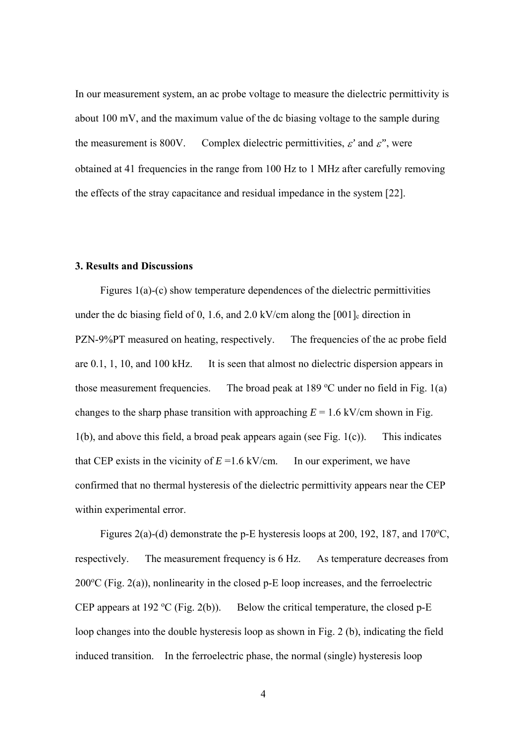In our measurement system, an ac probe voltage to measure the dielectric permittivity is about 100 mV, and the maximum value of the dc biasing voltage to the sample during the measurement is 800V. Complex dielectric permittivities,  $\varepsilon'$  and  $\varepsilon''$ , were obtained at 41 frequencies in the range from 100 Hz to 1 MHz after carefully removing the effects of the stray capacitance and residual impedance in the system [22].

# **3. Results and Discussions**

 Figures 1(a)-(c) show temperature dependences of the dielectric permittivities under the dc biasing field of 0, 1.6, and 2.0 kV/cm along the  $[001]$ <sub>c</sub> direction in PZN-9%PT measured on heating, respectively. The frequencies of the ac probe field are 0.1, 1, 10, and 100 kHz. It is seen that almost no dielectric dispersion appears in those measurement frequencies. The broad peak at 189  $\degree$ C under no field in Fig. 1(a) changes to the sharp phase transition with approaching  $E = 1.6 \text{ kV/cm}$  shown in Fig.  $1(b)$ , and above this field, a broad peak appears again (see Fig.  $1(c)$ ). This indicates that CEP exists in the vicinity of  $E = 1.6$  kV/cm. In our experiment, we have confirmed that no thermal hysteresis of the dielectric permittivity appears near the CEP within experimental error.

Figures 2(a)-(d) demonstrate the p-E hysteresis loops at 200, 192, 187, and 170 $\textdegree$ C, respectively. The measurement frequency is 6 Hz. As temperature decreases from  $200^{\circ}$ C (Fig. 2(a)), nonlinearity in the closed p-E loop increases, and the ferroelectric CEP appears at 192 °C (Fig. 2(b)). Below the critical temperature, the closed  $p-E$ loop changes into the double hysteresis loop as shown in Fig. 2 (b), indicating the field induced transition. In the ferroelectric phase, the normal (single) hysteresis loop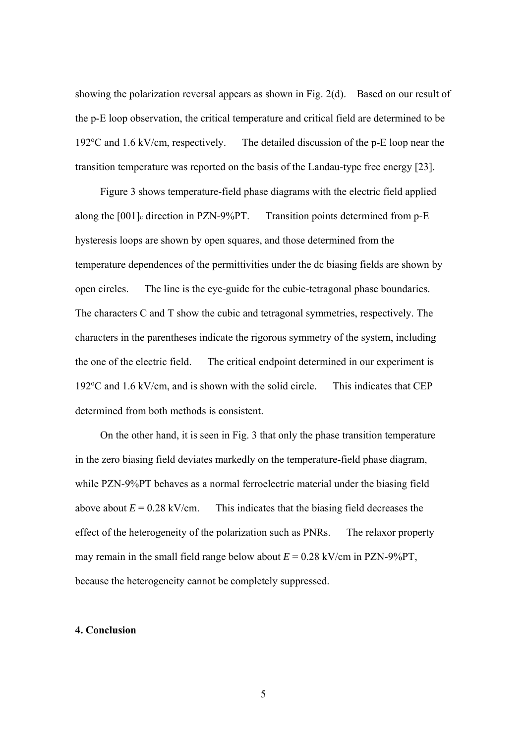showing the polarization reversal appears as shown in Fig. 2(d). Based on our result of the p-E loop observation, the critical temperature and critical field are determined to be 192 $\rm{^{\circ}C}$  and 1.6 kV/cm, respectively. The detailed discussion of the p-E loop near the transition temperature was reported on the basis of the Landau-type free energy [23].

 Figure 3 shows temperature-field phase diagrams with the electric field applied along the [001]<sub>c</sub> direction in PZN-9%PT. Transition points determined from p-E hysteresis loops are shown by open squares, and those determined from the temperature dependences of the permittivities under the dc biasing fields are shown by open circles. The line is the eye-guide for the cubic-tetragonal phase boundaries. The characters C and T show the cubic and tetragonal symmetries, respectively. The characters in the parentheses indicate the rigorous symmetry of the system, including the one of the electric field. The critical endpoint determined in our experiment is 192°C and 1.6 kV/cm, and is shown with the solid circle. This indicates that CEP determined from both methods is consistent.

 On the other hand, it is seen in Fig. 3 that only the phase transition temperature in the zero biasing field deviates markedly on the temperature-field phase diagram, while PZN-9%PT behaves as a normal ferroelectric material under the biasing field above about  $E = 0.28$  kV/cm. This indicates that the biasing field decreases the effect of the heterogeneity of the polarization such as PNRs. The relaxor property may remain in the small field range below about  $E = 0.28 \text{ kV/cm}$  in PZN-9%PT, because the heterogeneity cannot be completely suppressed.

#### **4. Conclusion**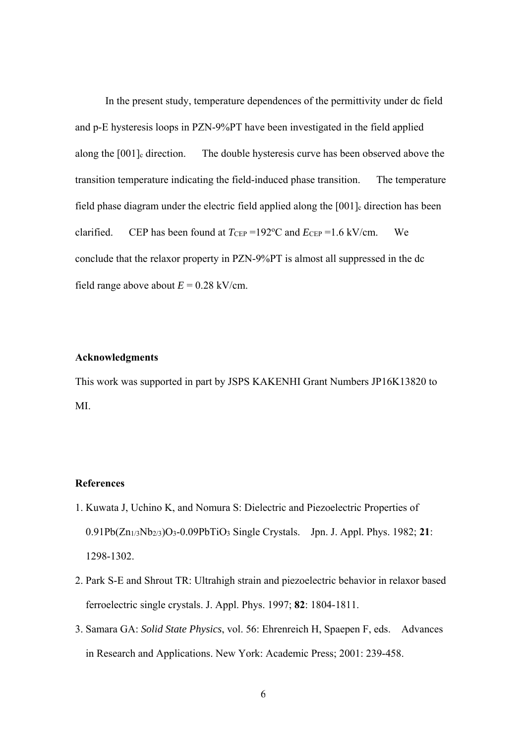In the present study, temperature dependences of the permittivity under dc field and p-E hysteresis loops in PZN-9%PT have been investigated in the field applied along the [001]<sub>c</sub> direction. The double hysteresis curve has been observed above the transition temperature indicating the field-induced phase transition. The temperature field phase diagram under the electric field applied along the  $[001]$ <sub>c</sub> direction has been clarified. CEP has been found at  $T_{CEP} = 192$ °C and  $E_{CEP} = 1.6$  kV/cm. We conclude that the relaxor property in PZN-9%PT is almost all suppressed in the dc field range above about  $E = 0.28$  kV/cm.

#### **Acknowledgments**

This work was supported in part by JSPS KAKENHI Grant Numbers JP16K13820 to MI.

# **References**

- 1. Kuwata J, Uchino K, and Nomura S: Dielectric and Piezoelectric Properties of 0.91Pb(Zn1/3Nb2/3)O3-0.09PbTiO3 Single Crystals. Jpn. J. Appl. Phys. 1982; **21**: 1298-1302.
- 2. Park S-E and Shrout TR: Ultrahigh strain and piezoelectric behavior in relaxor based ferroelectric single crystals. J. Appl. Phys. 1997; **82**: 1804-1811.
- 3. Samara GA: *Solid State Physics*, vol. 56: Ehrenreich H, Spaepen F, eds. Advances in Research and Applications. New York: Academic Press; 2001: 239-458.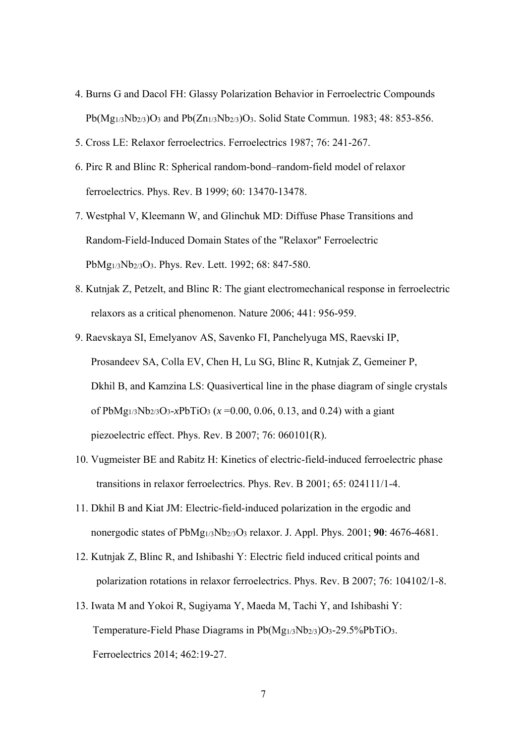- 4. Burns G and Dacol FH: Glassy Polarization Behavior in Ferroelectric Compounds Pb(Mg1/3Nb2/3)O3 and Pb(Zn1/3Nb2/3)O3. Solid State Commun. 1983; 48: 853-856.
- 5. Cross LE: Relaxor ferroelectrics. Ferroelectrics 1987; 76: 241-267.
- 6. Pirc R and Blinc R: Spherical random-bond–random-field model of relaxor ferroelectrics. Phys. Rev. B 1999; 60: 13470-13478.
- 7. Westphal V, Kleemann W, and Glinchuk MD: Diffuse Phase Transitions and Random-Field-Induced Domain States of the "Relaxor" Ferroelectric PbMg1/3Nb2/3O3. Phys. Rev. Lett. 1992; 68: 847-580.
- 8. Kutnjak Z, Petzelt, and Blinc R: The giant electromechanical response in ferroelectric relaxors as a critical phenomenon. Nature 2006; 441: 956-959.
- 9. Raevskaya SI, Emelyanov AS, Savenko FI, Panchelyuga MS, Raevski IP, Prosandeev SA, Colla EV, Chen H, Lu SG, Blinc R, Kutnjak Z, Gemeiner P, Dkhil B, and Kamzina LS: Quasivertical line in the phase diagram of single crystals of PbMg<sub>1/3</sub>Nb<sub>2/3</sub>O<sub>3</sub>-*x*PbTiO<sub>3</sub> ( $x = 0.00, 0.06, 0.13,$  and 0.24) with a giant piezoelectric effect. Phys. Rev. B 2007; 76: 060101(R).
- 10. Vugmeister BE and Rabitz H: Kinetics of electric-field-induced ferroelectric phase transitions in relaxor ferroelectrics. Phys. Rev. B 2001; 65: 024111/1-4.
- 11. Dkhil B and Kiat JM: Electric-field-induced polarization in the ergodic and nonergodic states of PbMg1/3Nb2/3O3 relaxor. J. Appl. Phys. 2001; **90**: 4676-4681.
- 12. Kutnjak Z, Blinc R, and Ishibashi Y: Electric field induced critical points and polarization rotations in relaxor ferroelectrics. Phys. Rev. B 2007; 76: 104102/1-8.
- 13. Iwata M and Yokoi R, Sugiyama Y, Maeda M, Tachi Y, and Ishibashi Y: Temperature-Field Phase Diagrams in  $Pb(Mg_{1/3}Nb_{2/3})O_3-29.5\%PbTiO_3$ . Ferroelectrics 2014; 462:19-27.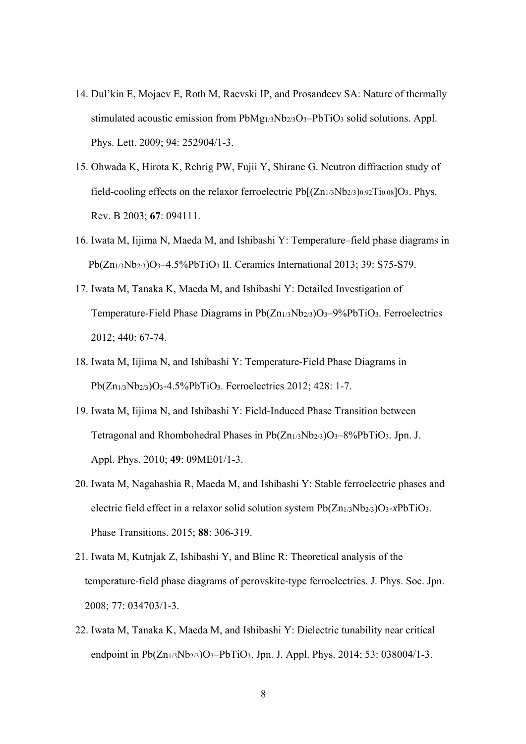- 14. Dul'kin E, Mojaev E, Roth M, Raevski IP, and Prosandeev SA: Nature of thermally stimulated acoustic emission from PbMg<sub>1/3</sub>Nb<sub>2/3</sub>O<sub>3</sub>-PbTiO<sub>3</sub> solid solutions. Appl. Phys. Lett. 2009; 94: 252904/1-3.
- 15. Ohwada K, Hirota K, Rehrig PW, Fujii Y, Shirane G. Neutron diffraction study of field-cooling effects on the relaxor ferroelectric  $Pb[(Zn_{1/3}Nb_{2/3})_{0.92}Ti_{0.08}]O_3$ . Phys. Rev. B 2003; **67**: 094111.
- 16. Iwata M, Iijima N, Maeda M, and Ishibashi Y: Temperature–field phase diagrams in Pb(Zn<sub>1/3</sub>Nb<sub>2/3</sub>)O<sub>3</sub>-4.5%PbTiO<sub>3</sub> II. Ceramics International 2013; 39: S75-S79.
- 17. Iwata M, Tanaka K, Maeda M, and Ishibashi Y: Detailed Investigation of Temperature-Field Phase Diagrams in  $Pb(Zn_{1/3}Nb_{2/3})O_3-9\%PbTiO_3$ . Ferroelectrics 2012; 440: 67-74.
- 18. Iwata M, Iijima N, and Ishibashi Y: Temperature-Field Phase Diagrams in Pb(Zn1/3Nb2/3)O3-4.5%PbTiO3. Ferroelectrics 2012; 428: 1-7.
- 19. Iwata M, Iijima N, and Ishibashi Y: Field-Induced Phase Transition between Tetragonal and Rhombohedral Phases in Pb(Zn<sub>1/3</sub>Nb<sub>2/3</sub>)O<sub>3</sub>-8%PbTiO<sub>3</sub>. Jpn. J. Appl. Phys. 2010; **49**: 09ME01/1-3.
- 20. Iwata M, Nagahashia R, Maeda M, and Ishibashi Y: Stable ferroelectric phases and electric field effect in a relaxor solid solution system Pb(Zn1/3Nb2/3)O3-*x*PbTiO3. Phase Transitions. 2015; **88**: 306-319.
- 21. Iwata M, Kutnjak Z, Ishibashi Y, and Blinc R: Theoretical analysis of the temperature-field phase diagrams of perovskite-type ferroelectrics. J. Phys. Soc. Jpn. 2008; 77: 034703/1-3.
- 22. Iwata M, Tanaka K, Maeda M, and Ishibashi Y: Dielectric tunability near critical endpoint in  $Pb(Zn_{1/3}Nb_{2/3})O_3-PbTiO_3$ . Jpn. J. Appl. Phys. 2014; 53: 038004/1-3.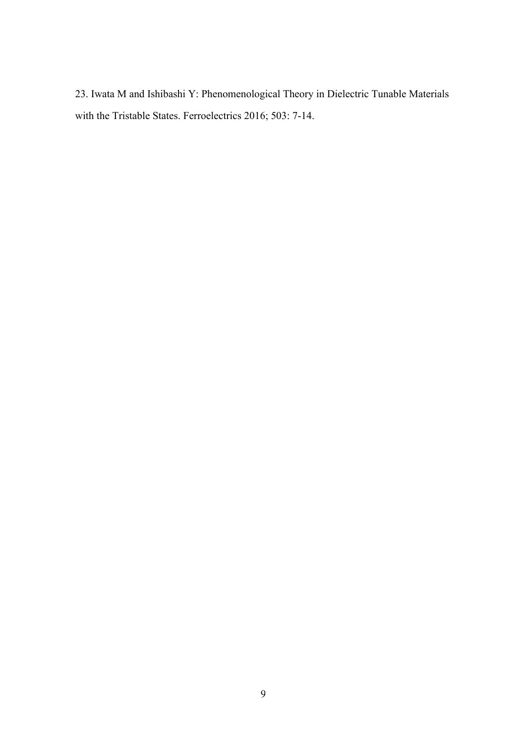23. Iwata M and Ishibashi Y: Phenomenological Theory in Dielectric Tunable Materials with the Tristable States. Ferroelectrics 2016; 503: 7-14.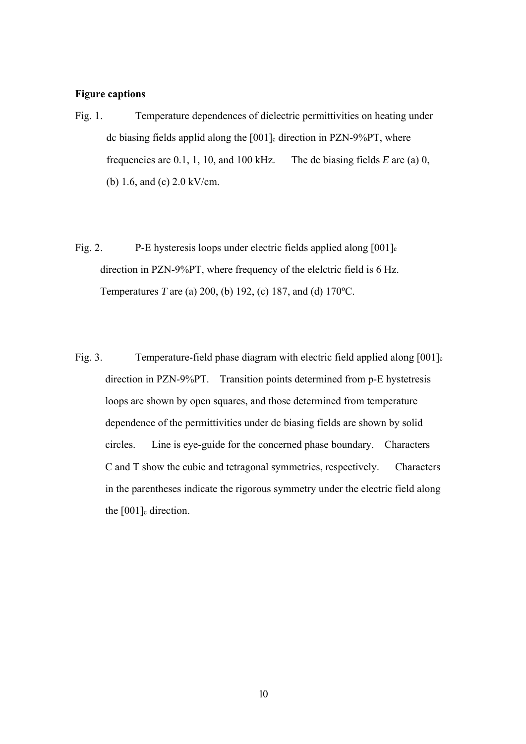#### **Figure captions**

- Fig. 1. Temperature dependences of dielectric permittivities on heating under dc biasing fields applid along the [001]<sub>c</sub> direction in PZN-9%PT, where frequencies are 0.1, 1, 10, and 100 kHz. The dc biasing fields *E* are (a) 0, (b) 1.6, and (c) 2.0 kV/cm.
- Fig. 2. P-E hysteresis loops under electric fields applied along  $[001]_c$  direction in PZN-9%PT, where frequency of the elelctric field is 6 Hz. Temperatures *T* are (a) 200, (b) 192, (c) 187, and (d) 170°C.
- Fig. 3. Temperature-field phase diagram with electric field applied along [001]<sub>c</sub> direction in PZN-9%PT. Transition points determined from p-E hystetresis loops are shown by open squares, and those determined from temperature dependence of the permittivities under dc biasing fields are shown by solid circles. Line is eye-guide for the concerned phase boundary. Characters C and T show the cubic and tetragonal symmetries, respectively. Characters in the parentheses indicate the rigorous symmetry under the electric field along the  $[001]_c$  direction.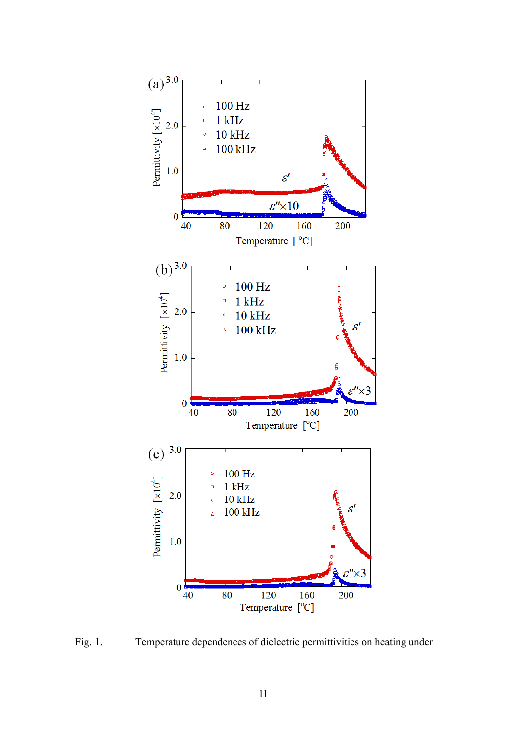

Fig. 1. Temperature dependences of dielectric permittivities on heating under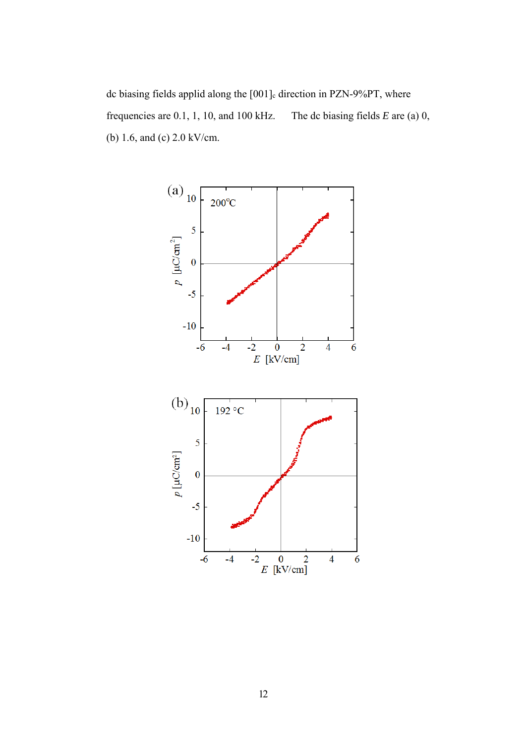dc biasing fields applid along the [001]<sub>c</sub> direction in PZN-9%PT, where frequencies are 0.1, 1, 10, and 100 kHz. The dc biasing fields *E* are (a) 0, (b) 1.6, and (c) 2.0 kV/cm.

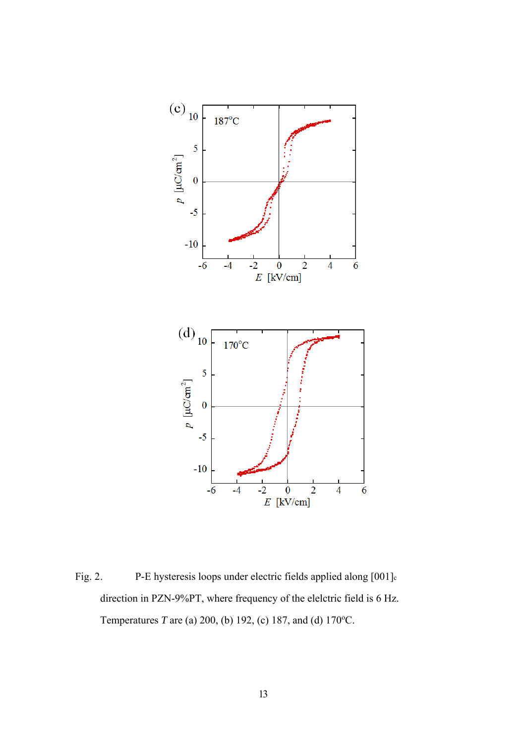![](_page_13_Figure_0.jpeg)

Fig. 2. P-E hysteresis loops under electric fields applied along [001]<sub>c</sub> direction in PZN-9%PT, where frequency of the elelctric field is 6 Hz. Temperatures *T* are (a) 200, (b) 192, (c) 187, and (d) 170°C.